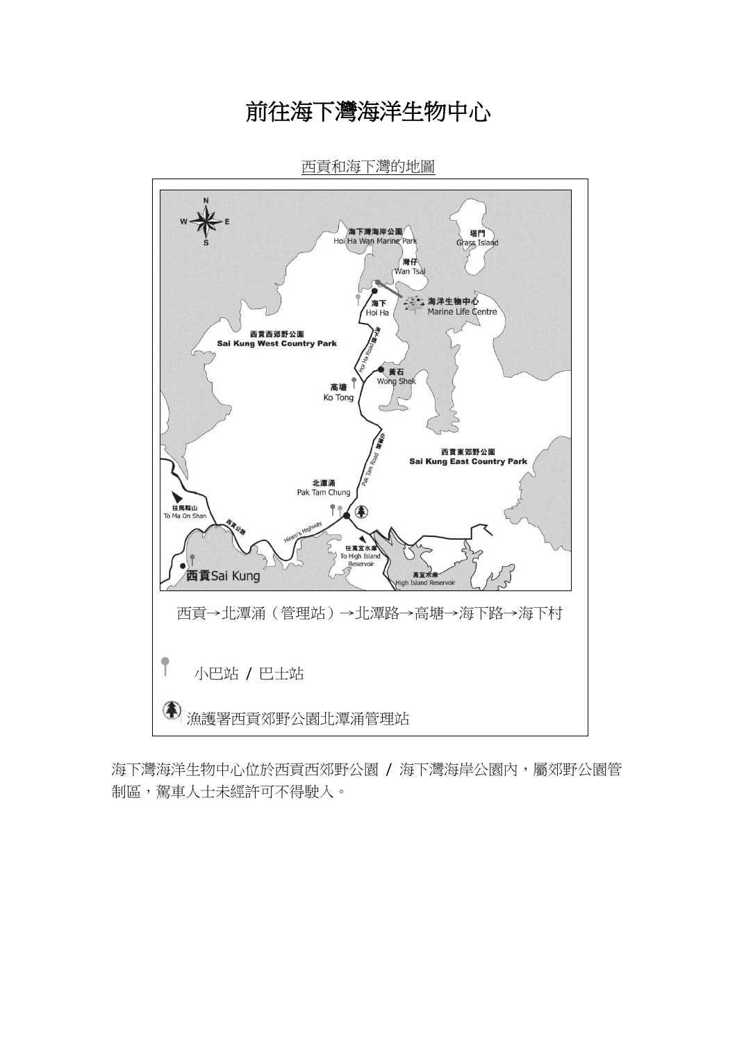# 前往海下灣海洋生物中心



西貢和海下灣的地圖

海下灣海洋生物中心位於西貢西郊野公園 / 海下灣海岸公園內,屬郊野公園管 制區,駕車人士未經許可不得駛入。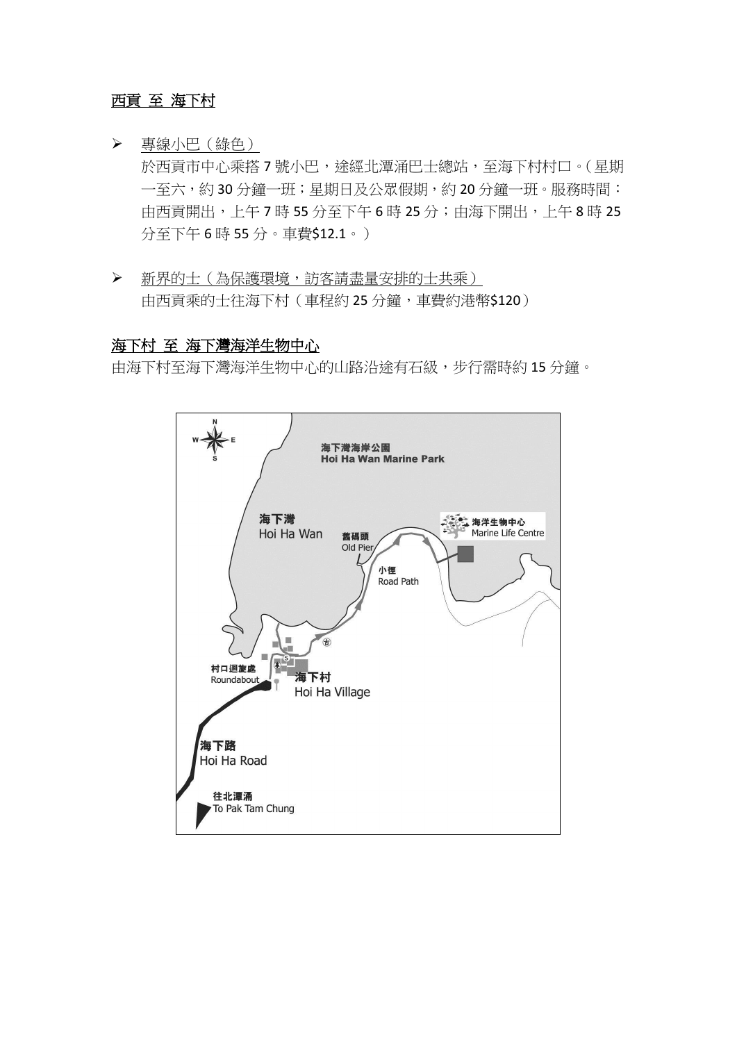# 西貢 至 海下村

專線小巴(綠色)

於西貢市中心乘搭7號小巴,途經北潭涌巴士總站,至海下村村口。(星期 一至六,約 30 分鐘一班;星期日及公眾假期,約 20 分鐘一班。服務時間: 中西貢開出,上午7時 55 分至下午6時 25 分; 由海下開出,上午8時 25 分至下午 6 時 55 分。車費\$12.1。)

 新界的士(為保護環境,訪客請盡量安排的士共乘) 由西貢乘的士往海下村(車程約 25 分鐘,車費約港幣\$120)

#### 海下村 至 海下灣海洋生物中心

由海下村至海下灣海洋生物中心的山路沿途有石級,步行需時約 15 分鐘。

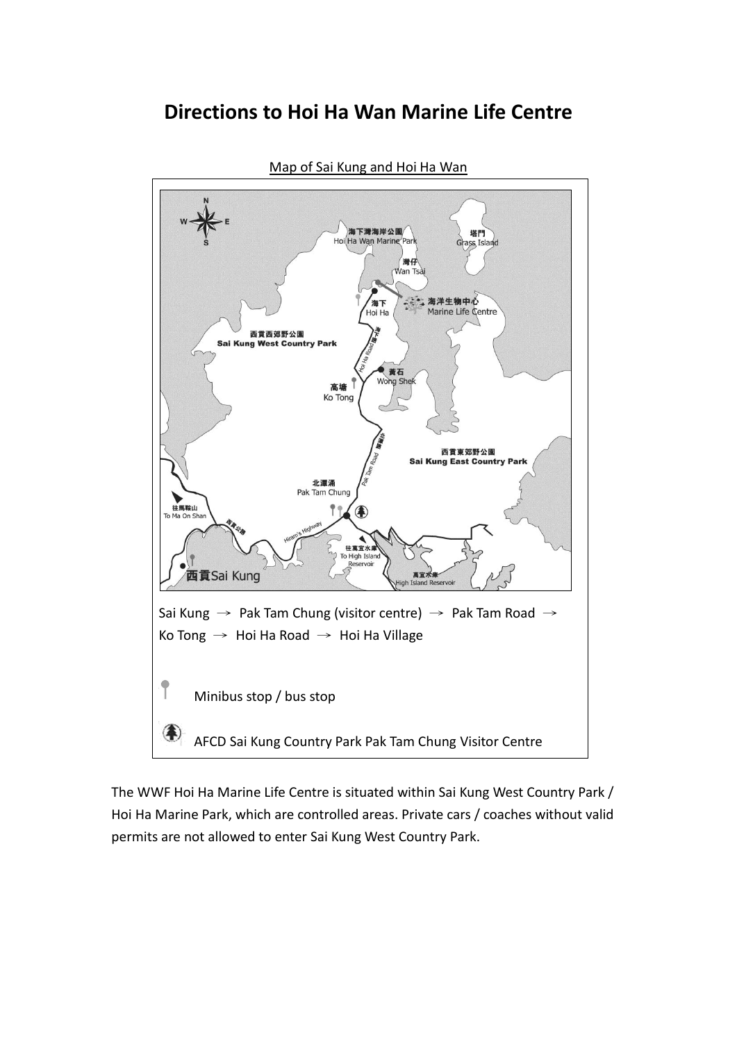# **Directions to Hoi Ha Wan Marine Life Centre**



Map of Sai Kung and Hoi Ha Wan

The WWF Hoi Ha Marine Life Centre is situated within Sai Kung West Country Park / Hoi Ha Marine Park, which are controlled areas. Private cars / coaches without valid permits are not allowed to enter Sai Kung West Country Park.